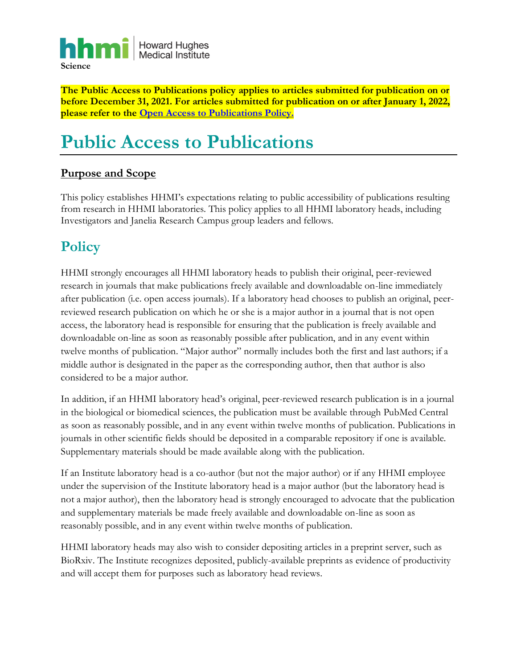

**The Public Access to Publications policy applies to articles submitted for publication on or before December 31, 2021. For articles submitted for publication on or after January 1, 2022, please refer to the [Open Access to Publications Policy.](https://hhmicdn.blob.core.windows.net/policies/Open-Access-To-Publications-Policy)**

# **Public Access to Publications**

### **Purpose and Scope**

This policy establishes HHMI's expectations relating to public accessibility of publications resulting from research in HHMI laboratories. This policy applies to all HHMI laboratory heads, including Investigators and Janelia Research Campus group leaders and fellows.

### **Policy**

HHMI strongly encourages all HHMI laboratory heads to publish their original, peer-reviewed research in journals that make publications freely available and downloadable on-line immediately after publication (i.e. open access journals). If a laboratory head chooses to publish an original, peerreviewed research publication on which he or she is a major author in a journal that is not open access, the laboratory head is responsible for ensuring that the publication is freely available and downloadable on-line as soon as reasonably possible after publication, and in any event within twelve months of publication. "Major author" normally includes both the first and last authors; if a middle author is designated in the paper as the corresponding author, then that author is also considered to be a major author.

In addition, if an HHMI laboratory head's original, peer-reviewed research publication is in a journal in the biological or biomedical sciences, the publication must be available through PubMed Central as soon as reasonably possible, and in any event within twelve months of publication. Publications in journals in other scientific fields should be deposited in a comparable repository if one is available. Supplementary materials should be made available along with the publication.

If an Institute laboratory head is a co-author (but not the major author) or if any HHMI employee under the supervision of the Institute laboratory head is a major author (but the laboratory head is not a major author), then the laboratory head is strongly encouraged to advocate that the publication and supplementary materials be made freely available and downloadable on-line as soon as reasonably possible, and in any event within twelve months of publication.

HHMI laboratory heads may also wish to consider depositing articles in a preprint server, such as BioRxiv. The Institute recognizes deposited, publicly-available preprints as evidence of productivity and will accept them for purposes such as laboratory head reviews.